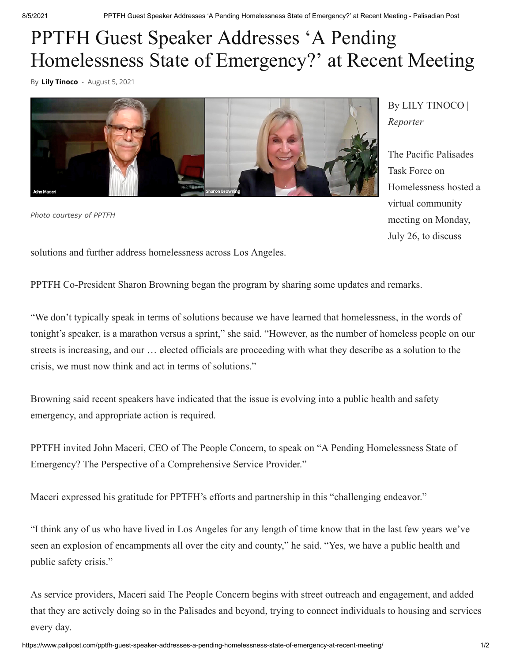## PPTFH Guest Speaker Addresses 'A Pending Homelessness State of Emergency?' at Recent Meeting

By **[Lily Tinoco](https://www.palipost.com/author/lily/)** - August 5, 2021



*Photo courtesy of PPTFH*

By LILY TINOCO | *Reporter*

The Pacific Palisades Task Force on Homelessness hosted a virtual community meeting on Monday, July 26, to discuss

solutions and further address homelessness across Los Angeles.

PPTFH Co-President Sharon Browning began the program by sharing some updates and remarks.

"We don't typically speak in terms of solutions because we have learned that homelessness, in the words of tonight's speaker, is a marathon versus a sprint," she said. "However, as the number of homeless people on our streets is increasing, and our … elected officials are proceeding with what they describe as a solution to the crisis, we must now think and act in terms of solutions."

Browning said recent speakers have indicated that the issue is evolving into a public health and safety emergency, and appropriate action is required.

PPTFH invited John Maceri, CEO of The People Concern, to speak on "A Pending Homelessness State of Emergency? The Perspective of a Comprehensive Service Provider."

Maceri expressed his gratitude for PPTFH's efforts and partnership in this "challenging endeavor."

"I think any of us who have lived in Los Angeles for any length of time know that in the last few years we've seen an explosion of encampments all over the city and county," he said. "Yes, we have a public health and public safety crisis."

As service providers, Maceri said The People Concern begins with street outreach and engagement, and added that they are actively doing so in the Palisades and beyond, trying to connect individuals to housing and services every day.